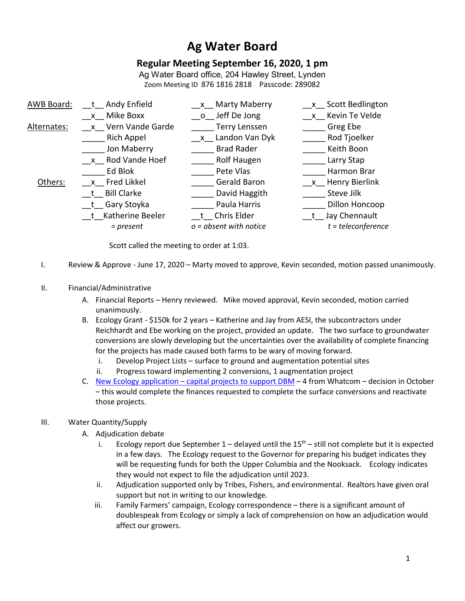# **Ag Water Board**

# **Regular Meeting September 16, 2020, 1 pm**

Ag Water Board office, 204 Hawley Street, Lynden Zoom Meeting ID 876 1816 2818 Passcode: 289082

| Andy Enfield       | <b>Marty Maberry</b><br>$\mathsf{X}$ | x Scott Bedlington   |
|--------------------|--------------------------------------|----------------------|
| x Mike Boxx        | o Jeff De Jong                       | x Kevin Te Velde     |
| x Vern Vande Garde | <b>Terry Lenssen</b>                 | Greg Ebe             |
| <b>Rich Appel</b>  | x Landon Van Dyk                     | Rod Tjoelker         |
| Jon Maberry        | <b>Brad Rader</b>                    | Keith Boon           |
| x Rod Vande Hoef   | Rolf Haugen                          | Larry Stap           |
| Ed Blok            | Pete Vlas                            | Harmon Brar          |
| x Fred Likkel      | Gerald Baron                         | x Henry Bierlink     |
| t Bill Clarke      | David Haggith                        | Steve Jilk           |
| t Gary Stoyka      | Paula Harris                         | Dillon Honcoop       |
| t Katherine Beeler | t Chris Elder                        | t Jay Chennault      |
| = present          | $o = absent$ with notice             | $t = teleconference$ |
|                    |                                      |                      |

Scott called the meeting to order at 1:03.

- I. Review & Approve June 17, 2020 Marty moved to approve, Kevin seconded, motion passed unanimously.
- II. Financial/Administrative
	- A. Financial Reports Henry reviewed. Mike moved approval, Kevin seconded, motion carried unanimously.
	- B. Ecology Grant \$150k for 2 years Katherine and Jay from AESI, the subcontractors under Reichhardt and Ebe working on the project, provided an update. The two surface to groundwater conversions are slowly developing but the uncertainties over the availability of complete financing for the projects has made caused both farms to be wary of moving forward.
		- i. Develop Project Lists surface to ground and augmentation potential sites
		- ii. Progress toward implementing 2 conversions, 1 augmentation project
	- C. New Ecology application capital projects to support DBM 4 from Whatcom decision in October – this would complete the finances requested to complete the surface conversions and reactivate those projects.

## III. Water Quantity/Supply

- A. Adjudication debate
	- i. Ecology report due September  $1$  delayed until the  $15<sup>th</sup>$  still not complete but it is expected in a few days. The Ecology request to the Governor for preparing his budget indicates they will be requesting funds for both the Upper Columbia and the Nooksack. Ecology indicates they would not expect to file the adjudication until 2023.
	- ii. Adjudication supported only by Tribes, Fishers, and environmental. Realtors have given oral support but not in writing to our knowledge.
	- iii. Family Farmers' campaign, Ecology correspondence there is a significant amount of doublespeak from Ecology or simply a lack of comprehension on how an adjudication would affect our growers.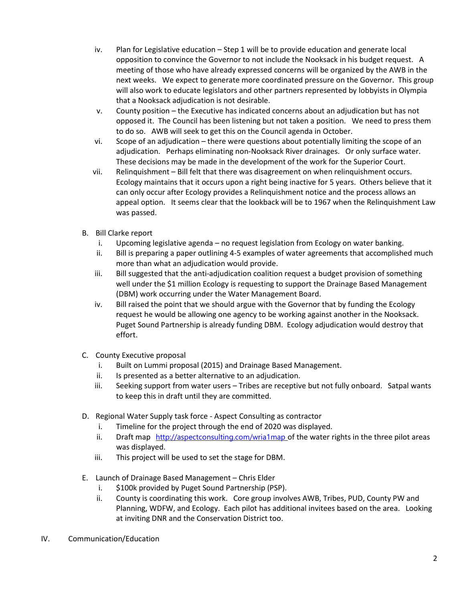- iv. Plan for Legislative education Step 1 will be to provide education and generate local opposition to convince the Governor to not include the Nooksack in his budget request. A meeting of those who have already expressed concerns will be organized by the AWB in the next weeks. We expect to generate more coordinated pressure on the Governor. This group will also work to educate legislators and other partners represented by lobbyists in Olympia that a Nooksack adjudication is not desirable.
- v. County position the Executive has indicated concerns about an adjudication but has not opposed it. The Council has been listening but not taken a position. We need to press them to do so. AWB will seek to get this on the Council agenda in October.
- vi. Scope of an adjudication there were questions about potentially limiting the scope of an adjudication. Perhaps eliminating non-Nooksack River drainages. Or only surface water. These decisions may be made in the development of the work for the Superior Court.
- vii. Relinquishment Bill felt that there was disagreement on when relinquishment occurs. Ecology maintains that it occurs upon a right being inactive for 5 years. Others believe that it can only occur after Ecology provides a Relinquishment notice and the process allows an appeal option. It seems clear that the lookback will be to 1967 when the Relinquishment Law was passed.
- B. Bill Clarke report
	- i. Upcoming legislative agenda no request legislation from Ecology on water banking.
	- ii. Bill is preparing a paper outlining 4-5 examples of water agreements that accomplished much more than what an adjudication would provide.
	- iii. Bill suggested that the anti-adjudication coalition request a budget provision of something well under the \$1 million Ecology is requesting to support the Drainage Based Management (DBM) work occurring under the Water Management Board.
	- iv. Bill raised the point that we should argue with the Governor that by funding the Ecology request he would be allowing one agency to be working against another in the Nooksack. Puget Sound Partnership is already funding DBM. Ecology adjudication would destroy that effort.
- C. County Executive proposal
	- i. Built on Lummi proposal (2015) and Drainage Based Management.
	- ii. Is presented as a better alternative to an adjudication.
	- iii. Seeking support from water users Tribes are receptive but not fully onboard. Satpal wants to keep this in draft until they are committed.
- D. Regional Water Supply task force Aspect Consulting as contractor
	- i. Timeline for the project through the end of 2020 was displayed.
	- ii. Draft map <http://aspectconsulting.com/wria1map> of the water rights in the three pilot areas was displayed.
	- iii. This project will be used to set the stage for DBM.
- E. Launch of Drainage Based Management Chris Elder
	- i. \$100k provided by Puget Sound Partnership (PSP).
	- ii. County is coordinating this work. Core group involves AWB, Tribes, PUD, County PW and Planning, WDFW, and Ecology. Each pilot has additional invitees based on the area. Looking at inviting DNR and the Conservation District too.
- IV. Communication/Education